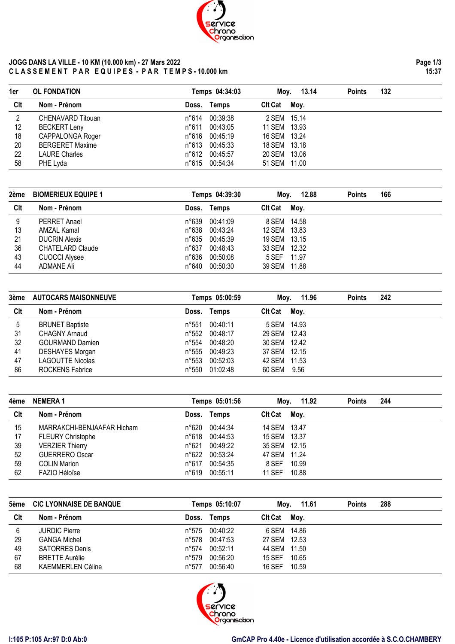

## **JOGG DANS LA VILLE - 10 KM (10.000 km) - 27 Mars 2022 C L A S S E M E N T P A R E Q U I P E S - P A R T E M P S - 10.000 km**

| 1er | <b>OL FONDATION</b>    |             | Temps 04:34:03 | Moy.         | 13.14 | <b>Points</b> | 132 |  |
|-----|------------------------|-------------|----------------|--------------|-------|---------------|-----|--|
| Clt | Nom - Prénom           | Doss. Temps |                | Cit Cat Moy. |       |               |     |  |
| 2   | CHENAVARD Titouan      |             | n°614 00:39:38 | 2 SEM 15.14  |       |               |     |  |
| 12  | <b>BECKERT Leny</b>    |             | n°611 00:43:05 | 11 SEM 13.93 |       |               |     |  |
| 18  | CAPPALONGA Roger       |             | n°616 00:45:19 | 16 SEM 13.24 |       |               |     |  |
| 20  | <b>BERGERET Maxime</b> |             | n°613 00:45:33 | 18 SEM 13.18 |       |               |     |  |
| 22  | <b>LAURE Charles</b>   |             | n°612 00:45:57 | 20 SEM 13.06 |       |               |     |  |
| 58  | PHE Lyda               |             | n°615 00:54:34 | 51 SEM 11.00 |       |               |     |  |

| 2ème | <b>BIOMERIEUX EQUIPE 1</b> |                | Temps 04:39:30 | Mov.           | 12.88 | <b>Points</b> | 166 |  |
|------|----------------------------|----------------|----------------|----------------|-------|---------------|-----|--|
| Clt  | Nom - Prénom               |                | Doss. Temps    | <b>Clt Cat</b> | Moy.  |               |     |  |
| 9    | <b>PERRET Anael</b>        | n°639          | 00:41:09       | 8 SEM 14.58    |       |               |     |  |
| 13   | AMZAL Kamal                | n°638          | 00:43:24       | 12 SEM 13.83   |       |               |     |  |
| 21   | <b>DUCRIN Alexis</b>       | n°635          | 00:45:39       | 19 SEM 13.15   |       |               |     |  |
| 36   | <b>CHATELARD Claude</b>    | $n^{\circ}637$ | 00:48:43       | 33 SEM 12.32   |       |               |     |  |
| 43   | <b>CUOCCI Alysee</b>       | n°636          | 00:50:08       | 5 SEF 11.97    |       |               |     |  |
| 44   | ADMANE Ali                 | n°640          | 00:50:30       | 39 SEM 11.88   |       |               |     |  |

| 3ème | <b>AUTOCARS MAISONNEUVE</b> |       | Temps 05:00:59 |                | Moy. 11.96 | <b>Points</b> | 242 |  |
|------|-----------------------------|-------|----------------|----------------|------------|---------------|-----|--|
| Clt  | Nom - Prénom                |       | Doss. Temps    | <b>CIt Cat</b> | Mov.       |               |     |  |
| -5   | <b>BRUNET Baptiste</b>      | n°551 | 00:40:11       | 5 SEM 14.93    |            |               |     |  |
| 31   | CHAGNY Arnaud               | n°552 | 00:48:17       | 29 SEM 12.43   |            |               |     |  |
| 32   | <b>GOURMAND Damien</b>      | n°554 | 00:48:20       | 30 SEM 12.42   |            |               |     |  |
| 41   | <b>DESHAYES Morgan</b>      | n°555 | 00:49:23       | 37 SEM 12.15   |            |               |     |  |
| 47   | <b>LAGOUTTE Nicolas</b>     | n°553 | 00:52:03       | 42 SEM 11.53   |            |               |     |  |
| 86   | <b>ROCKENS Fabrice</b>      | n°550 | 01:02:48       | 60 SEM 9.56    |            |               |     |  |

| 4ème | <b>NEMERA1</b>             |       | Temps 05:01:56 | Mov.           | 11.92 | <b>Points</b> | 244 |  |
|------|----------------------------|-------|----------------|----------------|-------|---------------|-----|--|
| Clt  | Nom - Prénom               |       | Doss. Temps    | <b>Clt Cat</b> | Moy.  |               |     |  |
| 15   | MARRAKCHI-BENJAAFAR Hicham | n°620 | 00:44:34       | 14 SEM 13.47   |       |               |     |  |
| 17   | <b>FLEURY Christophe</b>   | n°618 | 00:44:53       | 15 SEM 13.37   |       |               |     |  |
| 39   | <b>VERZIER Thierry</b>     | n°621 | 00:49:22       | 35 SEM 12.15   |       |               |     |  |
| 52   | <b>GUERRERO Oscar</b>      | n°622 | 00:53:24       | 47 SEM 11.24   |       |               |     |  |
| 59   | <b>COLIN Marion</b>        | n°617 | 00:54:35       | 8 SEF          | 10.99 |               |     |  |
| 62   | FAZIO Héloïse              | n°619 | 00:55:11       | 11 SEF         | 10.88 |               |     |  |

| 5ème | <b>CIC LYONNAISE DE BANQUE</b> |       | Temps 05:10:07 | Mov.           | 11.61 | <b>Points</b> | 288 |  |
|------|--------------------------------|-------|----------------|----------------|-------|---------------|-----|--|
| Clt  | Nom - Prénom                   | Doss. | Temps          | <b>CIt Cat</b> | Mov.  |               |     |  |
| 6    | <b>JURDIC Pierre</b>           | n°575 | 00:40:22       | 6 SEM 14.86    |       |               |     |  |
| 29   | <b>GANGA Michel</b>            | n°578 | 00:47:53       | 27 SEM 12.53   |       |               |     |  |
| 49   | <b>SATORRES Denis</b>          | n°574 | 00:52:11       | 44 SEM 11.50   |       |               |     |  |
| 67   | <b>BRETTE Aurélie</b>          | n°579 | 00:56:20       | <b>15 SEF</b>  | 10.65 |               |     |  |
| 68   | <b>KAEMMERLEN Céline</b>       | n°577 | 00:56:40       | <b>16 SEF</b>  | 10.59 |               |     |  |

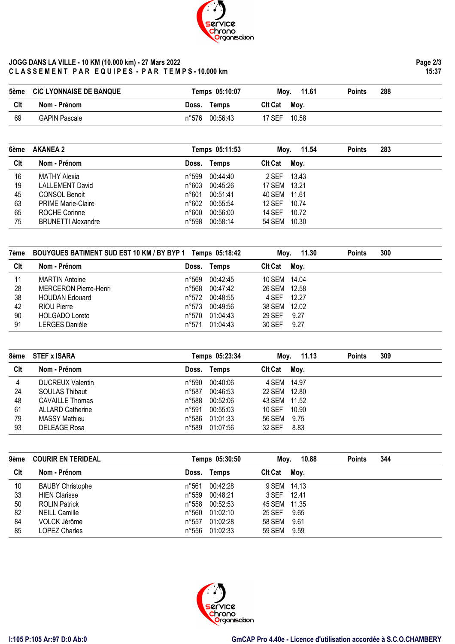

## **JOGG DANS LA VILLE - 10 KM (10.000 km) - 27 Mars 2022 C L A S S E M E N T P A R E Q U I P E S - P A R T E M P S - 10.000 km**

| 6ème | <b>AKANEA 2</b>           |                | Temps 05:11:53 | Moy. 11.54     |       | <b>Points</b> | 283 |  |
|------|---------------------------|----------------|----------------|----------------|-------|---------------|-----|--|
| Clt  | Nom - Prénom              | Doss.          | Temps          | <b>CIt Cat</b> | Moy.  |               |     |  |
| 16   | MATHY Alexia              | n°599          | 00:44:40       | 2 SEF          | 13.43 |               |     |  |
| 19   | <b>LALLEMENT David</b>    | n°603          | 00:45:26       | 17 SEM 13.21   |       |               |     |  |
| 45   | <b>CONSOL Benoit</b>      | n°601          | 00:51:41       | 40 SEM 11.61   |       |               |     |  |
| 63   | <b>PRIME Marie-Claire</b> | $n^{\circ}602$ | 00:55:54       | <b>12 SEF</b>  | 10.74 |               |     |  |
| 65   | ROCHE Corinne             | n°600          | 00:56:00       | 14 SEF         | 10.72 |               |     |  |
| 75   | <b>BRUNETTI Alexandre</b> | n°598          | 00:58:14       | 54 SEM         | 10.30 |               |     |  |

| 7ème | BOUYGUES BATIMENT SUD EST 10 KM / BY BYP 1 Temps 05:18:42 |       |          | Moy.           | 11.30 | <b>Points</b> | 300 |  |
|------|-----------------------------------------------------------|-------|----------|----------------|-------|---------------|-----|--|
| Clt  | Nom - Prénom                                              | Doss. | Temps    | <b>Clt Cat</b> | Moy.  |               |     |  |
| 11   | <b>MARTIN Antoine</b>                                     | n°569 | 00:42:45 | 10 SEM 14.04   |       |               |     |  |
| 28   | <b>MERCERON Pierre-Henri</b>                              | n°568 | 00:47:42 | 26 SEM 12.58   |       |               |     |  |
| 38   | <b>HOUDAN Edouard</b>                                     | n°572 | 00:48:55 | 4 SEF 12.27    |       |               |     |  |
| 42   | RIOU Pierre                                               | n°573 | 00:49:56 | 38 SEM         | 12.02 |               |     |  |
| 90   | <b>HOLGADO Loreto</b>                                     | n°570 | 01:04:43 | <b>29 SEF</b>  | 9.27  |               |     |  |
| 91   | LERGES Danièle                                            | n°571 | 01:04:43 | 30 SEF         | 9.27  |               |     |  |

| 8ème | <b>STEF x ISARA</b>     |                | Temps 05:23:34 | Mov.           | 11.13 | <b>Points</b> | 309 |  |
|------|-------------------------|----------------|----------------|----------------|-------|---------------|-----|--|
| Clt  | Nom - Prénom            | Doss.          | Temps          | <b>Clt Cat</b> | Moy.  |               |     |  |
| 4    | <b>DUCREUX Valentin</b> | n°590          | 00:40:06       | 4 SEM 14.97    |       |               |     |  |
| 24   | <b>SOULAS Thibaut</b>   | $n^{\circ}587$ | 00:46:53       | 22 SEM 12.80   |       |               |     |  |
| 48   | <b>CAVAILLE Thomas</b>  | n°588          | 00:52:06       | 43 SEM 11.52   |       |               |     |  |
| 61   | <b>ALLARD Catherine</b> | n°591          | 00:55:03       | $10$ SEF       | 10.90 |               |     |  |
| 79   | MASSY Mathieu           | n°586          | 01:01:33       | 56 SEM         | 9.75  |               |     |  |
| 93   | DELEAGE Rosa            | n°589          | 01:07:56       | 32 SEF         | 8.83  |               |     |  |

| 9ème | <b>COURIR EN TERIDEAL</b> |                | Temps 05:30:50 | Moy.           | 10.88 | <b>Points</b> | 344 |
|------|---------------------------|----------------|----------------|----------------|-------|---------------|-----|
| Clt  | Nom - Prénom              | Doss.          | <b>Temps</b>   | <b>CIt Cat</b> | Moy.  |               |     |
| 10   | <b>BAUBY Christophe</b>   | n°561          | 00:42:28       | 9 SEM 14.13    |       |               |     |
| 33   | <b>HIEN Clarisse</b>      | n°559          | 00:48:21       | 3 SEF 12.41    |       |               |     |
| 50   | <b>ROLIN Patrick</b>      | n°558          | 00:52:53       | 45 SEM 11.35   |       |               |     |
| 82   | <b>NEILL Camille</b>      | n°560          | 01:02:10       | 25 SEF         | 9.65  |               |     |
| 84   | VOLCK Jérôme              | $n^{\circ}557$ | 01:02:28       | 58 SEM         | 9.61  |               |     |
| 85   | <b>LOPEZ Charles</b>      | n°556          | 01:02:33       | 59 SEM         | 9.59  |               |     |